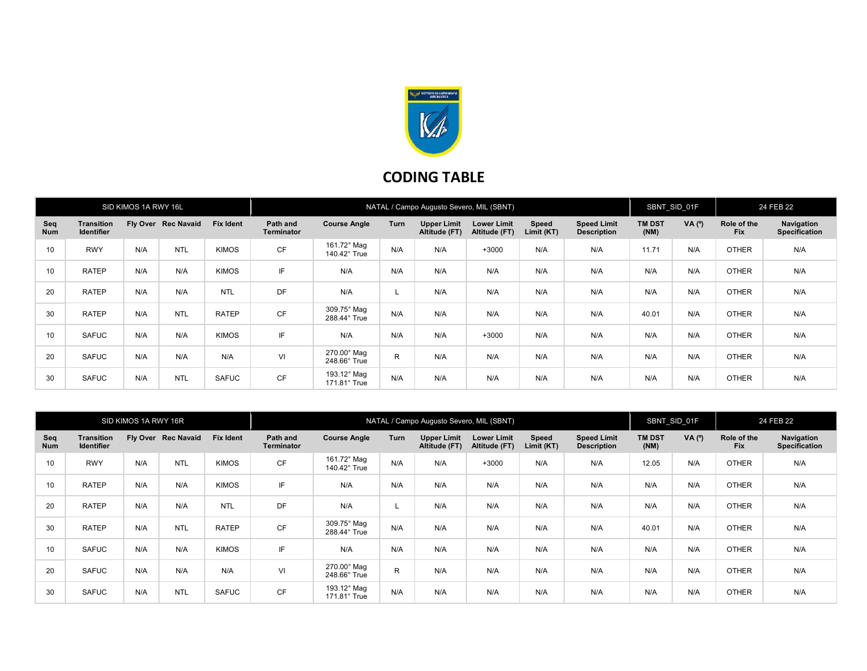

## CODING TABLE

| SID KIMOS 1A RWY 16L |                                        |     |                     | NATAL / Campo Augusto Severo, MIL (SBNT) |                               |                                    |              |                                     |                                     |                     | SBNT SID 01F                             |                       | 24 FEB 22 |                           |                                           |
|----------------------|----------------------------------------|-----|---------------------|------------------------------------------|-------------------------------|------------------------------------|--------------|-------------------------------------|-------------------------------------|---------------------|------------------------------------------|-----------------------|-----------|---------------------------|-------------------------------------------|
| Seq<br><b>Num</b>    | <b>Transition</b><br><b>Identifier</b> |     | Fly Over Rec Navaid | <b>Fix Ident</b>                         | Path and<br><b>Terminator</b> | <b>Course Angle</b>                | Turn         | <b>Upper Limit</b><br>Altitude (FT) | <b>Lower Limit</b><br>Altitude (FT) | Speed<br>Limit (KT) | <b>Speed Limit</b><br><b>Description</b> | <b>TM DST</b><br>(NM) | VA (°)    | Role of the<br><b>Fix</b> | <b>Navigation</b><br><b>Specification</b> |
| 10                   | <b>RWY</b>                             | N/A | <b>NTL</b>          | <b>KIMOS</b>                             | <b>CF</b>                     | 161.72° Mag<br>140.42° True        | N/A          | N/A                                 | $+3000$                             | N/A                 | N/A                                      | 11.71                 | N/A       | <b>OTHER</b>              | N/A                                       |
| 10                   | <b>RATEP</b>                           | N/A | N/A                 | <b>KIMOS</b>                             | IF                            | N/A                                | N/A          | N/A                                 | N/A                                 | N/A                 | N/A                                      | N/A                   | N/A       | <b>OTHER</b>              | N/A                                       |
| 20                   | <b>RATEP</b>                           | N/A | N/A                 | <b>NTL</b>                               | <b>DF</b>                     | N/A                                |              | N/A                                 | N/A                                 | N/A                 | N/A                                      | N/A                   | N/A       | <b>OTHER</b>              | N/A                                       |
| 30                   | <b>RATEP</b>                           | N/A | <b>NTL</b>          | <b>RATEP</b>                             | <b>CF</b>                     | 309.75° Mag<br>288.44° True        | N/A          | N/A                                 | N/A                                 | N/A                 | N/A                                      | 40.01                 | N/A       | <b>OTHER</b>              | N/A                                       |
| 10                   | <b>SAFUC</b>                           | N/A | N/A                 | <b>KIMOS</b>                             | IF                            | N/A                                | N/A          | N/A                                 | $+3000$                             | N/A                 | N/A                                      | N/A                   | N/A       | <b>OTHER</b>              | N/A                                       |
| 20                   | <b>SAFUC</b>                           | N/A | N/A                 | N/A                                      | VI                            | $270.00^\circ$ Mag<br>248.66° True | $\mathsf{R}$ | N/A                                 | N/A                                 | N/A                 | N/A                                      | N/A                   | N/A       | <b>OTHER</b>              | N/A                                       |
| 30                   | <b>SAFUC</b>                           | N/A | <b>NTL</b>          | <b>SAFUC</b>                             | <b>CF</b>                     | 193.12° Mag<br>$171.81^\circ$ True | N/A          | N/A                                 | N/A                                 | N/A                 | N/A                                      | N/A                   | N/A       | <b>OTHER</b>              | N/A                                       |

| SID KIMOS 1A RWY 16R |                                 |     |                     | NATAL / Campo Augusto Severo, MIL (SBNT) |                               |                             |      |                                     |                                     |                     | SBNT SID 01F                             |                       | 24 FEB 22 |                           |                                    |
|----------------------|---------------------------------|-----|---------------------|------------------------------------------|-------------------------------|-----------------------------|------|-------------------------------------|-------------------------------------|---------------------|------------------------------------------|-----------------------|-----------|---------------------------|------------------------------------|
| Seq<br>Num           | Transition<br><b>Identifier</b> |     | Fly Over Rec Navaid | <b>Fix Ident</b>                         | Path and<br><b>Terminator</b> | <b>Course Angle</b>         | Turn | <b>Upper Limit</b><br>Altitude (FT) | <b>Lower Limit</b><br>Altitude (FT) | Speed<br>Limit (KT) | <b>Speed Limit</b><br><b>Description</b> | <b>TM DST</b><br>(NM) | VA (°)    | Role of the<br><b>Fix</b> | Navigation<br><b>Specification</b> |
| 10                   | <b>RWY</b>                      | N/A | <b>NTL</b>          | <b>KIMOS</b>                             | <b>CF</b>                     | 161.72° Mag<br>140.42° True | N/A  | N/A                                 | $+3000$                             | N/A                 | N/A                                      | 12.05                 | N/A       | <b>OTHER</b>              | N/A                                |
| 10                   | <b>RATEP</b>                    | N/A | N/A                 | <b>KIMOS</b>                             | IF                            | N/A                         | N/A  | N/A                                 | N/A                                 | N/A                 | N/A                                      | N/A                   | N/A       | <b>OTHER</b>              | N/A                                |
| 20                   | <b>RATEP</b>                    | N/A | N/A                 | <b>NTL</b>                               | DF                            | N/A                         |      | N/A                                 | N/A                                 | N/A                 | N/A                                      | N/A                   | N/A       | <b>OTHER</b>              | N/A                                |
| 30                   | <b>RATEP</b>                    | N/A | <b>NTL</b>          | <b>RATEP</b>                             | <b>CF</b>                     | 309.75° Mag<br>288.44° True | N/A  | N/A                                 | N/A                                 | N/A                 | N/A                                      | 40.01                 | N/A       | <b>OTHER</b>              | N/A                                |
| 10                   | <b>SAFUC</b>                    | N/A | N/A                 | <b>KIMOS</b>                             | IF                            | N/A                         | N/A  | N/A                                 | N/A                                 | N/A                 | N/A                                      | N/A                   | N/A       | <b>OTHER</b>              | N/A                                |
| 20                   | <b>SAFUC</b>                    | N/A | N/A                 | N/A                                      | VI                            | 270.00° Mag<br>248.66° True | R    | N/A                                 | N/A                                 | N/A                 | N/A                                      | N/A                   | N/A       | <b>OTHER</b>              | N/A                                |
| 30                   | <b>SAFUC</b>                    | N/A | <b>NTL</b>          | <b>SAFUC</b>                             | <b>CF</b>                     | 193.12° Mag<br>171.81° True | N/A  | N/A                                 | N/A                                 | N/A                 | N/A                                      | N/A                   | N/A       | <b>OTHER</b>              | N/A                                |